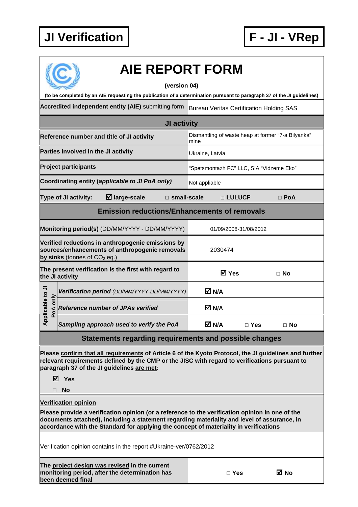

| <b>AIE REPORT FORM</b>                                                                                                                                                                                                                                                                                                 |                                                            |                         |  |  |  |  |  |  |
|------------------------------------------------------------------------------------------------------------------------------------------------------------------------------------------------------------------------------------------------------------------------------------------------------------------------|------------------------------------------------------------|-------------------------|--|--|--|--|--|--|
| (version 04)                                                                                                                                                                                                                                                                                                           |                                                            |                         |  |  |  |  |  |  |
| (to be completed by an AIE requesting the publication of a determination pursuant to paragraph 37 of the JI guidelines)                                                                                                                                                                                                |                                                            |                         |  |  |  |  |  |  |
| Accredited independent entity (AIE) submitting form<br><b>Bureau Veritas Certification Holding SAS</b>                                                                                                                                                                                                                 |                                                            |                         |  |  |  |  |  |  |
| JI activity                                                                                                                                                                                                                                                                                                            |                                                            |                         |  |  |  |  |  |  |
| Reference number and title of JI activity                                                                                                                                                                                                                                                                              | Dismantling of waste heap at former "7-a Bilyanka"<br>mine |                         |  |  |  |  |  |  |
| Parties involved in the JI activity                                                                                                                                                                                                                                                                                    | Ukraine, Latvia                                            |                         |  |  |  |  |  |  |
| <b>Project participants</b>                                                                                                                                                                                                                                                                                            | "Spetsmontazh FC" LLC, SIA "Vidzeme Eko"                   |                         |  |  |  |  |  |  |
| Coordinating entity (applicable to JI PoA only)                                                                                                                                                                                                                                                                        | Not appliable                                              |                         |  |  |  |  |  |  |
| $\boxtimes$ large-scale<br><b>Type of JI activity:</b><br>$\Box$ small-scale                                                                                                                                                                                                                                           | □ LULUCF                                                   | $\Box$ PoA              |  |  |  |  |  |  |
| <b>Emission reductions/Enhancements of removals</b>                                                                                                                                                                                                                                                                    |                                                            |                         |  |  |  |  |  |  |
| Monitoring period(s) (DD/MM/YYYY - DD/MM/YYYY)                                                                                                                                                                                                                                                                         | 01/09/2008-31/08/2012                                      |                         |  |  |  |  |  |  |
| Verified reductions in anthropogenic emissions by<br>sources/enhancements of anthropogenic removals<br>by sinks (tonnes of $CO2$ eq.)                                                                                                                                                                                  | 2030474                                                    |                         |  |  |  |  |  |  |
| The present verification is the first with regard to<br>the JI activity                                                                                                                                                                                                                                                | <b>☑</b> Yes                                               | ⊟ No                    |  |  |  |  |  |  |
| Verification period (DD/MM/YYYY-DD/MM/YYYY)                                                                                                                                                                                                                                                                            | M N/A                                                      |                         |  |  |  |  |  |  |
| pplicable to JI<br>PoA only<br><b>Reference number of JPAs verified</b>                                                                                                                                                                                                                                                | M N/A                                                      |                         |  |  |  |  |  |  |
| ⋖<br>Sampling approach used to verify the PoA                                                                                                                                                                                                                                                                          | M N/A                                                      | $\Box$ Yes<br>$\Box$ No |  |  |  |  |  |  |
| Statements regarding requirements and possible changes                                                                                                                                                                                                                                                                 |                                                            |                         |  |  |  |  |  |  |
| Please confirm that all requirements of Article 6 of the Kyoto Protocol, the JI guidelines and further<br>relevant requirements defined by the CMP or the JISC with regard to verifications pursuant to<br>paragraph 37 of the JI guidelines are met:                                                                  |                                                            |                         |  |  |  |  |  |  |
| <b>☑</b> Yes                                                                                                                                                                                                                                                                                                           |                                                            |                         |  |  |  |  |  |  |
| <b>No</b>                                                                                                                                                                                                                                                                                                              |                                                            |                         |  |  |  |  |  |  |
| <b>Verification opinion</b><br>Please provide a verification opinion (or a reference to the verification opinion in one of the<br>documents attached), including a statement regarding materiality and level of assurance, in<br>accordance with the Standard for applying the concept of materiality in verifications |                                                            |                         |  |  |  |  |  |  |
| Verification opinion contains in the report #Ukraine-ver/0762/2012                                                                                                                                                                                                                                                     |                                                            |                         |  |  |  |  |  |  |
| The project design was revised in the current<br>monitoring period, after the determination has<br>been deemed final                                                                                                                                                                                                   | $\Box$ Yes                                                 | ⊠ No                    |  |  |  |  |  |  |